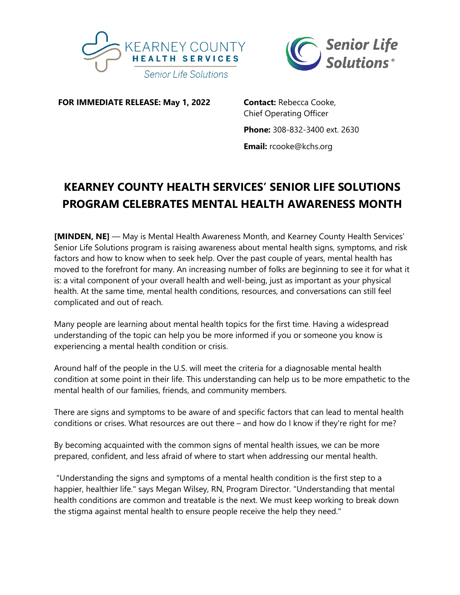



**FOR IMMEDIATE RELEASE: May 1, 2022 Contact:** Rebecca Cooke,

Chief Operating Officer **Phone:** 308-832-3400 ext. 2630 **Email:** rcooke@kchs.org

## **KEARNEY COUNTY HEALTH SERVICES' SENIOR LIFE SOLUTIONS PROGRAM CELEBRATES MENTAL HEALTH AWARENESS MONTH**

**[MINDEN, NE]** — May is Mental Health Awareness Month, and Kearney County Health Services' Senior Life Solutions program is raising awareness about mental health signs, symptoms, and risk factors and how to know when to seek help. Over the past couple of years, mental health has moved to the forefront for many. An increasing number of folks are beginning to see it for what it is: a vital component of your overall health and well-being, just as important as your physical health. At the same time, mental health conditions, resources, and conversations can still feel complicated and out of reach.

Many people are learning about mental health topics for the first time. Having a widespread understanding of the topic can help you be more informed if you or someone you know is experiencing a mental health condition or crisis.

Around half of the people in the U.S. will meet the criteria for a diagnosable mental health condition at some point in their life. This understanding can help us to be more empathetic to the mental health of our families, friends, and community members.

There are signs and symptoms to be aware of and specific factors that can lead to mental health conditions or crises. What resources are out there – and how do I know if they're right for me?

By becoming acquainted with the common signs of mental health issues, we can be more prepared, confident, and less afraid of where to start when addressing our mental health.

"Understanding the signs and symptoms of a mental health condition is the first step to a happier, healthier life." says Megan Wilsey, RN, Program Director. "Understanding that mental health conditions are common and treatable is the next. We must keep working to break down the stigma against mental health to ensure people receive the help they need."